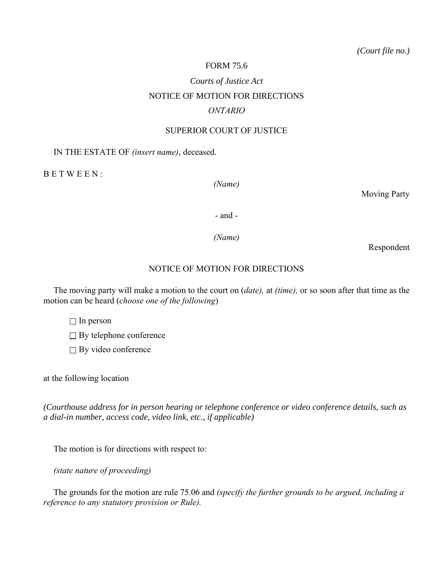# FORM 75.6

# *Courts of Justice Act* NOTICE OF MOTION FOR DIRECTIONS *ONTARIO*

#### SUPERIOR COURT OF JUSTICE

## IN THE ESTATE OF *(insert name)*, deceased.

B E T W E E N :

*(Name)*

Moving Party

- and -

*(Name)*

Respondent

## NOTICE OF MOTION FOR DIRECTIONS

The moving party will make a motion to the court on (*date),* at *(time),* or so soon after that time as the motion can be heard (*choose one of the following*)

 $\Box$  In person

 $\Box$  By telephone conference

 $\Box$  By video conference

at the following location

*(Courthouse address for in person hearing or telephone conference or video conference details, such as a dial-in number, access code, video link, etc., if applicable)*

The motion is for directions with respect to:

*(state nature of proceeding)*

The grounds for the motion are rule 75.06 and *(specify the further grounds to be argued, including a reference to any statutory provision or Rule).*